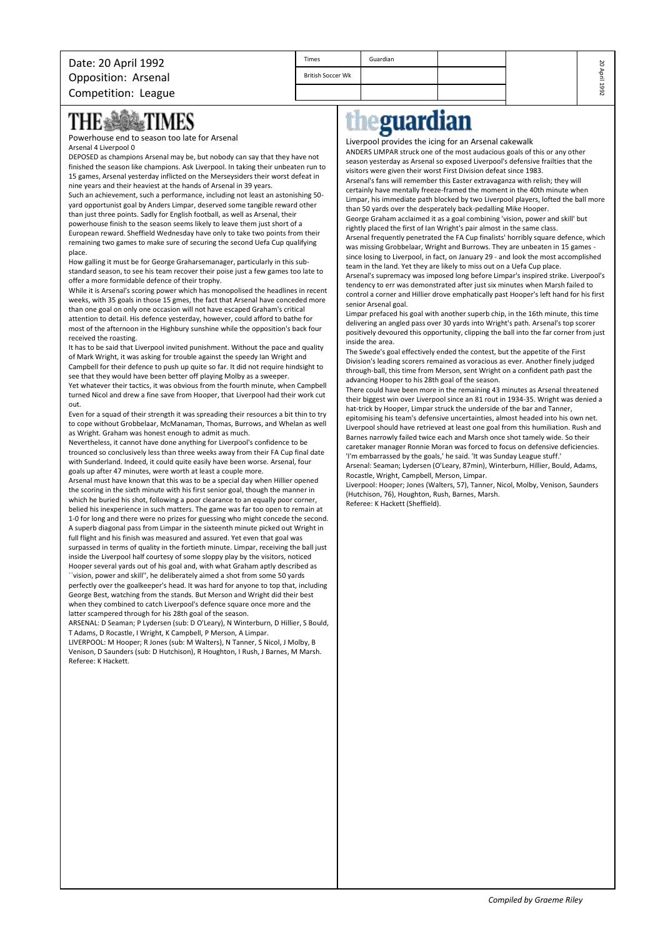## **THE &** 鰺 TIMES

Powerhouse end to season too late for Arsenal Arsenal 4 Liverpool 0

DEPOSED as champions Arsenal may be, but nobody can say that they have not finished the season like champions. Ask Liverpool. In taking their unbeaten run to 15 games, Arsenal yesterday inflicted on the Merseysiders their worst defeat in nine years and their heaviest at the hands of Arsenal in 39 years.

Such an achievement, such a performance, including not least an astonishing 50 yard opportunist goal by Anders Limpar, deserved some tangible reward other than just three points. Sadly for English football, as well as Arsenal, their powerhouse finish to the season seems likely to leave them just short of a European reward. Sheffield Wednesday have only to take two points from their remaining two games to make sure of securing the second Uefa Cup qualifying place.

How galling it must be for George Graharsemanager, particularly in this substandard season, to see his team recover their poise just a few games too late to offer a more formidable defence of their trophy.

While it is Arsenal's scoring power which has monopolised the headlines in recent weeks, with 35 goals in those 15 gmes, the fact that Arsenal have conceded more than one goal on only one occasion will not have escaped Graham's critical attention to detail. His defence yesterday, however, could afford to bathe for most of the afternoon in the Highbury sunshine while the opposition's back four received the roasting.

It has to be said that Liverpool invited punishment. Without the pace and quality of Mark Wright, it was asking for trouble against the speedy Ian Wright and Campbell for their defence to push up quite so far. It did not require hindsight to see that they would have been better off playing Molby as a sweeper.

Yet whatever their tactics, it was obvious from the fourth minute, when Campbell turned Nicol and drew a fine save from Hooper, that Liverpool had their work cut out.

Even for a squad of their strength it was spreading their resources a bit thin to try to cope without Grobbelaar, McManaman, Thomas, Burrows, and Whelan as well as Wright. Graham was honest enough to admit as much.

Nevertheless, it cannot have done anything for Liverpool's confidence to be trounced so conclusively less than three weeks away from their FA Cup final date with Sunderland. Indeed, it could quite easily have been worse. Arsenal, four goals up after 47 minutes, were worth at least a couple more.

Arsenal must have known that this was to be a special day when Hillier opened the scoring in the sixth minute with his first senior goal, though the manner in which he buried his shot, following a poor clearance to an equally poor corner, belied his inexperience in such matters. The game was far too open to remain at 1-0 for long and there were no prizes for guessing who might concede the second. A superb diagonal pass from Limpar in the sixteenth minute picked out Wright in full flight and his finish was measured and assured. Yet even that goal was surpassed in terms of quality in the fortieth minute. Limpar, receiving the ball just inside the Liverpool half courtesy of some sloppy play by the visitors, noticed Hooper several yards out of his goal and, with what Graham aptly described as

``vision, power and skill'', he deliberately aimed a shot from some 50 yards perfectly over the goalkeeper's head. It was hard for anyone to top that, including George Best, watching from the stands. But Merson and Wright did their best when they combined to catch Liverpool's defence square once more and the latter scampered through for his 28th goal of the season.

ARSENAL: D Seaman; P Lydersen (sub: D O'Leary), N Winterburn, D Hillier, S Bould, T Adams, D Rocastle, I Wright, K Campbell, P Merson, A Limpar.

LIVERPOOL: M Hooper; R Jones (sub: M Walters), N Tanner, S Nicol, J Molby, B Venison, D Saunders (sub: D Hutchison), R Houghton, I Rush, J Barnes, M Marsh. Referee: K Hackett.

## e<mark>guardian</mark> th

## Liverpool provides the icing for an Arsenal cakewalk

ANDERS LIMPAR struck one of the most audacious goals of this or any other season yesterday as Arsenal so exposed Liverpool's defensive frailties that the visitors were given their worst First Division defeat since 1983. Arsenal's fans will remember this Easter extravaganza with relish; they will

20 April 1992

certainly have mentally freeze-framed the moment in the 40th minute when Limpar, his immediate path blocked by two Liverpool players, lofted the ball more than 50 yards over the desperately back-pedalling Mike Hooper.

George Graham acclaimed it as a goal combining 'vision, power and skill' but rightly placed the first of Ian Wright's pair almost in the same class. Arsenal frequently penetrated the FA Cup finalists' horribly square defence, which

was missing Grobbelaar, Wright and Burrows. They are unbeaten in 15 games since losing to Liverpool, in fact, on January 29 - and look the most accomplished team in the land. Yet they are likely to miss out on a Uefa Cup place. Arsenal's supremacy was imposed long before Limpar's inspired strike. Liverpool's

tendency to err was demonstrated after just six minutes when Marsh failed to control a corner and Hillier drove emphatically past Hooper's left hand for his first senior Arsenal goal.

Limpar prefaced his goal with another superb chip, in the 16th minute, this time delivering an angled pass over 30 yards into Wright's path. Arsenal's top scorer positively devoured this opportunity, clipping the ball into the far corner from just inside the area.

The Swede's goal effectively ended the contest, but the appetite of the First Division's leading scorers remained as voracious as ever. Another finely judged through-ball, this time from Merson, sent Wright on a confident path past the advancing Hooper to his 28th goal of the season.

There could have been more in the remaining 43 minutes as Arsenal threatened their biggest win over Liverpool since an 81 rout in 1934-35. Wright was denied a hat-trick by Hooper, Limpar struck the underside of the bar and Tanner, epitomising his team's defensive uncertainties, almost headed into his own net. Liverpool should have retrieved at least one goal from this humiliation. Rush and Barnes narrowly failed twice each and Marsh once shot tamely wide. So their caretaker manager Ronnie Moran was forced to focus on defensive deficiencies. 'I'm embarrassed by the goals,' he said. 'It was Sunday League stuff.' Arsenal: Seaman; Lydersen (O'Leary, 87min), Winterburn, Hillier, Bould, Adams,

Rocastle, Wright, Campbell, Merson, Limpar. Liverpool: Hooper; Jones (Walters, 57), Tanner, Nicol, Molby, Venison, Saunders

(Hutchison, 76), Houghton, Rush, Barnes, Marsh. Referee: K Hackett (Sheffield).